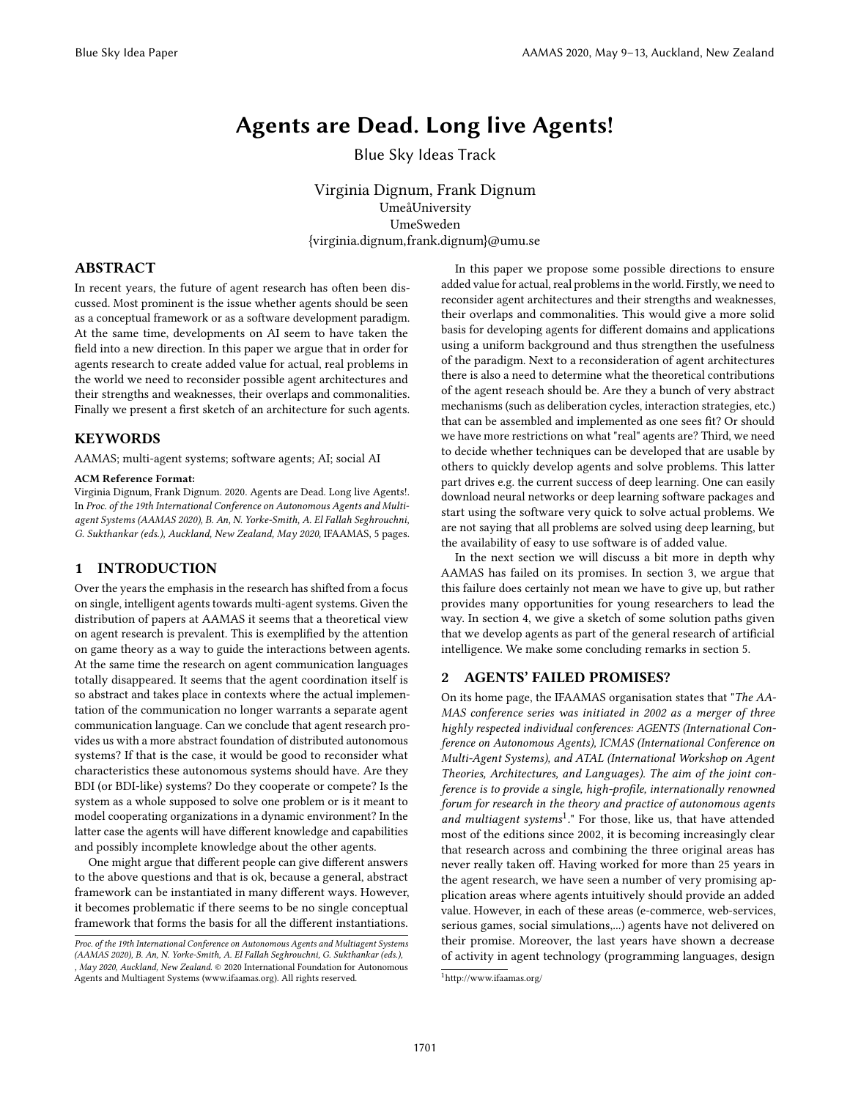# Agents are Dead. Long live Agents!

Blue Sky Ideas Track

Virginia Dignum, Frank Dignum UmeåUniversity UmeSweden {virginia.dignum,frank.dignum}@umu.se

# ABSTRACT

In recent years, the future of agent research has often been discussed. Most prominent is the issue whether agents should be seen as a conceptual framework or as a software development paradigm. At the same time, developments on AI seem to have taken the field into a new direction. In this paper we argue that in order for agents research to create added value for actual, real problems in the world we need to reconsider possible agent architectures and their strengths and weaknesses, their overlaps and commonalities. Finally we present a first sketch of an architecture for such agents.

#### **KEYWORDS**

AAMAS; multi-agent systems; software agents; AI; social AI

#### ACM Reference Format:

Virginia Dignum, Frank Dignum. 2020. Agents are Dead. Long live Agents!. In Proc. of the 19th International Conference on Autonomous Agents and Multiagent Systems (AAMAS 2020), B. An, N. Yorke-Smith, A. El Fallah Seghrouchni, G. Sukthankar (eds.), Auckland, New Zealand, May 2020, IFAAMAS, [5](#page-4-0) pages.

#### 1 INTRODUCTION

Over the years the emphasis in the research has shifted from a focus on single, intelligent agents towards multi-agent systems. Given the distribution of papers at AAMAS it seems that a theoretical view on agent research is prevalent. This is exemplified by the attention on game theory as a way to guide the interactions between agents. At the same time the research on agent communication languages totally disappeared. It seems that the agent coordination itself is so abstract and takes place in contexts where the actual implementation of the communication no longer warrants a separate agent communication language. Can we conclude that agent research provides us with a more abstract foundation of distributed autonomous systems? If that is the case, it would be good to reconsider what characteristics these autonomous systems should have. Are they BDI (or BDI-like) systems? Do they cooperate or compete? Is the system as a whole supposed to solve one problem or is it meant to model cooperating organizations in a dynamic environment? In the latter case the agents will have different knowledge and capabilities and possibly incomplete knowledge about the other agents.

One might argue that different people can give different answers to the above questions and that is ok, because a general, abstract framework can be instantiated in many different ways. However, it becomes problematic if there seems to be no single conceptual framework that forms the basis for all the different instantiations.

In this paper we propose some possible directions to ensure added value for actual, real problems in the world. Firstly, we need to reconsider agent architectures and their strengths and weaknesses, their overlaps and commonalities. This would give a more solid basis for developing agents for different domains and applications using a uniform background and thus strengthen the usefulness of the paradigm. Next to a reconsideration of agent architectures there is also a need to determine what the theoretical contributions of the agent reseach should be. Are they a bunch of very abstract mechanisms (such as deliberation cycles, interaction strategies, etc.) that can be assembled and implemented as one sees fit? Or should we have more restrictions on what "real" agents are? Third, we need to decide whether techniques can be developed that are usable by others to quickly develop agents and solve problems. This latter part drives e.g. the current success of deep learning. One can easily download neural networks or deep learning software packages and start using the software very quick to solve actual problems. We are not saying that all problems are solved using deep learning, but the availability of easy to use software is of added value.

In the next section we will discuss a bit more in depth why AAMAS has failed on its promises. In section 3, we argue that this failure does certainly not mean we have to give up, but rather provides many opportunities for young researchers to lead the way. In section 4, we give a sketch of some solution paths given that we develop agents as part of the general research of artificial intelligence. We make some concluding remarks in section 5.

### 2 AGENTS' FAILED PROMISES?

On its home page, the IFAAMAS organisation states that "The AA-MAS conference series was initiated in 2002 as a merger of three highly respected individual conferences: AGENTS (International Conference on Autonomous Agents), ICMAS (International Conference on Multi-Agent Systems), and ATAL (International Workshop on Agent Theories, Architectures, and Languages). The aim of the joint conference is to provide a single, high-profile, internationally renowned forum for research in the theory and practice of autonomous agents and multiagent systems<sup>[1](#page-0-0)</sup>." For those, like us, that have attended most of the editions since 2002, it is becoming increasingly clear that research across and combining the three original areas has never really taken off. Having worked for more than 25 years in the agent research, we have seen a number of very promising application areas where agents intuitively should provide an added value. However, in each of these areas (e-commerce, web-services, serious games, social simulations,...) agents have not delivered on their promise. Moreover, the last years have shown a decrease of activity in agent technology (programming languages, design

Proc. of the 19th International Conference on Autonomous Agents and Multiagent Systems (AAMAS 2020), B. An, N. Yorke-Smith, A. El Fallah Seghrouchni, G. Sukthankar (eds.), , May 2020, Auckland, New Zealand. © 2020 International Foundation for Autonomous Agents and Multiagent Systems (www.ifaamas.org). All rights reserved.

<span id="page-0-0"></span><sup>1</sup><http://www.ifaamas.org/>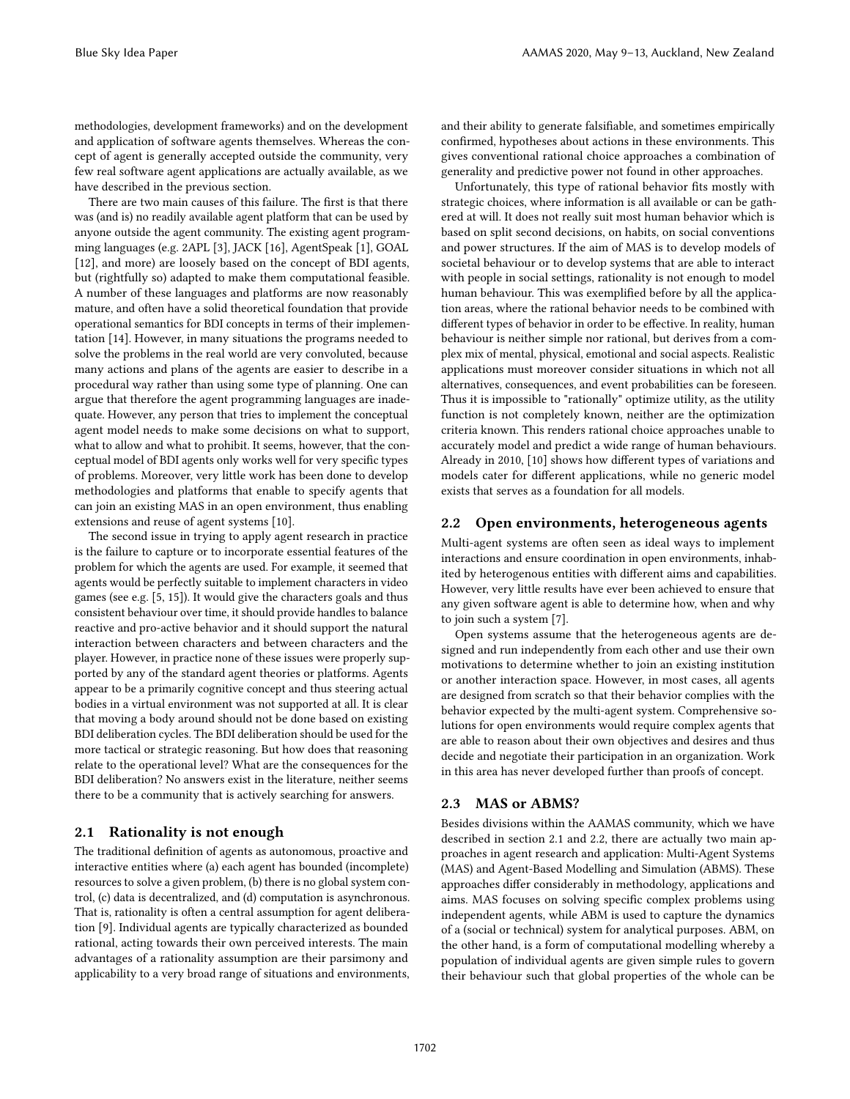methodologies, development frameworks) and on the development and application of software agents themselves. Whereas the concept of agent is generally accepted outside the community, very few real software agent applications are actually available, as we have described in the previous section.

There are two main causes of this failure. The first is that there was (and is) no readily available agent platform that can be used by anyone outside the agent community. The existing agent programming languages (e.g. 2APL [\[3\]](#page-4-1), JACK [\[16\]](#page-4-2), AgentSpeak [\[1\]](#page-4-3), GOAL [\[12\]](#page-4-4), and more) are loosely based on the concept of BDI agents, but (rightfully so) adapted to make them computational feasible. A number of these languages and platforms are now reasonably mature, and often have a solid theoretical foundation that provide operational semantics for BDI concepts in terms of their implementation [\[14\]](#page-4-5). However, in many situations the programs needed to solve the problems in the real world are very convoluted, because many actions and plans of the agents are easier to describe in a procedural way rather than using some type of planning. One can argue that therefore the agent programming languages are inadequate. However, any person that tries to implement the conceptual agent model needs to make some decisions on what to support, what to allow and what to prohibit. It seems, however, that the conceptual model of BDI agents only works well for very specific types of problems. Moreover, very little work has been done to develop methodologies and platforms that enable to specify agents that can join an existing MAS in an open environment, thus enabling extensions and reuse of agent systems [\[10\]](#page-4-6).

The second issue in trying to apply agent research in practice is the failure to capture or to incorporate essential features of the problem for which the agents are used. For example, it seemed that agents would be perfectly suitable to implement characters in video games (see e.g. [\[5,](#page-4-7) [15\]](#page-4-8)). It would give the characters goals and thus consistent behaviour over time, it should provide handles to balance reactive and pro-active behavior and it should support the natural interaction between characters and between characters and the player. However, in practice none of these issues were properly supported by any of the standard agent theories or platforms. Agents appear to be a primarily cognitive concept and thus steering actual bodies in a virtual environment was not supported at all. It is clear that moving a body around should not be done based on existing BDI deliberation cycles. The BDI deliberation should be used for the more tactical or strategic reasoning. But how does that reasoning relate to the operational level? What are the consequences for the BDI deliberation? No answers exist in the literature, neither seems there to be a community that is actively searching for answers.

## 2.1 Rationality is not enough

The traditional definition of agents as autonomous, proactive and interactive entities where (a) each agent has bounded (incomplete) resources to solve a given problem, (b) there is no global system control, (c) data is decentralized, and (d) computation is asynchronous. That is, rationality is often a central assumption for agent deliberation [\[9\]](#page-4-9). Individual agents are typically characterized as bounded rational, acting towards their own perceived interests. The main advantages of a rationality assumption are their parsimony and applicability to a very broad range of situations and environments, and their ability to generate falsifiable, and sometimes empirically confirmed, hypotheses about actions in these environments. This gives conventional rational choice approaches a combination of generality and predictive power not found in other approaches.

Unfortunately, this type of rational behavior fits mostly with strategic choices, where information is all available or can be gathered at will. It does not really suit most human behavior which is based on split second decisions, on habits, on social conventions and power structures. If the aim of MAS is to develop models of societal behaviour or to develop systems that are able to interact with people in social settings, rationality is not enough to model human behaviour. This was exemplified before by all the application areas, where the rational behavior needs to be combined with different types of behavior in order to be effective. In reality, human behaviour is neither simple nor rational, but derives from a complex mix of mental, physical, emotional and social aspects. Realistic applications must moreover consider situations in which not all alternatives, consequences, and event probabilities can be foreseen. Thus it is impossible to "rationally" optimize utility, as the utility function is not completely known, neither are the optimization criteria known. This renders rational choice approaches unable to accurately model and predict a wide range of human behaviours. Already in 2010, [\[10\]](#page-4-6) shows how different types of variations and models cater for different applications, while no generic model exists that serves as a foundation for all models.

#### 2.2 Open environments, heterogeneous agents

Multi-agent systems are often seen as ideal ways to implement interactions and ensure coordination in open environments, inhabited by heterogenous entities with different aims and capabilities. However, very little results have ever been achieved to ensure that any given software agent is able to determine how, when and why to join such a system [\[7\]](#page-4-10).

Open systems assume that the heterogeneous agents are designed and run independently from each other and use their own motivations to determine whether to join an existing institution or another interaction space. However, in most cases, all agents are designed from scratch so that their behavior complies with the behavior expected by the multi-agent system. Comprehensive solutions for open environments would require complex agents that are able to reason about their own objectives and desires and thus decide and negotiate their participation in an organization. Work in this area has never developed further than proofs of concept.

#### 2.3 MAS or ABMS?

Besides divisions within the AAMAS community, which we have described in section 2.1 and 2.2, there are actually two main approaches in agent research and application: Multi-Agent Systems (MAS) and Agent-Based Modelling and Simulation (ABMS). These approaches differ considerably in methodology, applications and aims. MAS focuses on solving specific complex problems using independent agents, while ABM is used to capture the dynamics of a (social or technical) system for analytical purposes. ABM, on the other hand, is a form of computational modelling whereby a population of individual agents are given simple rules to govern their behaviour such that global properties of the whole can be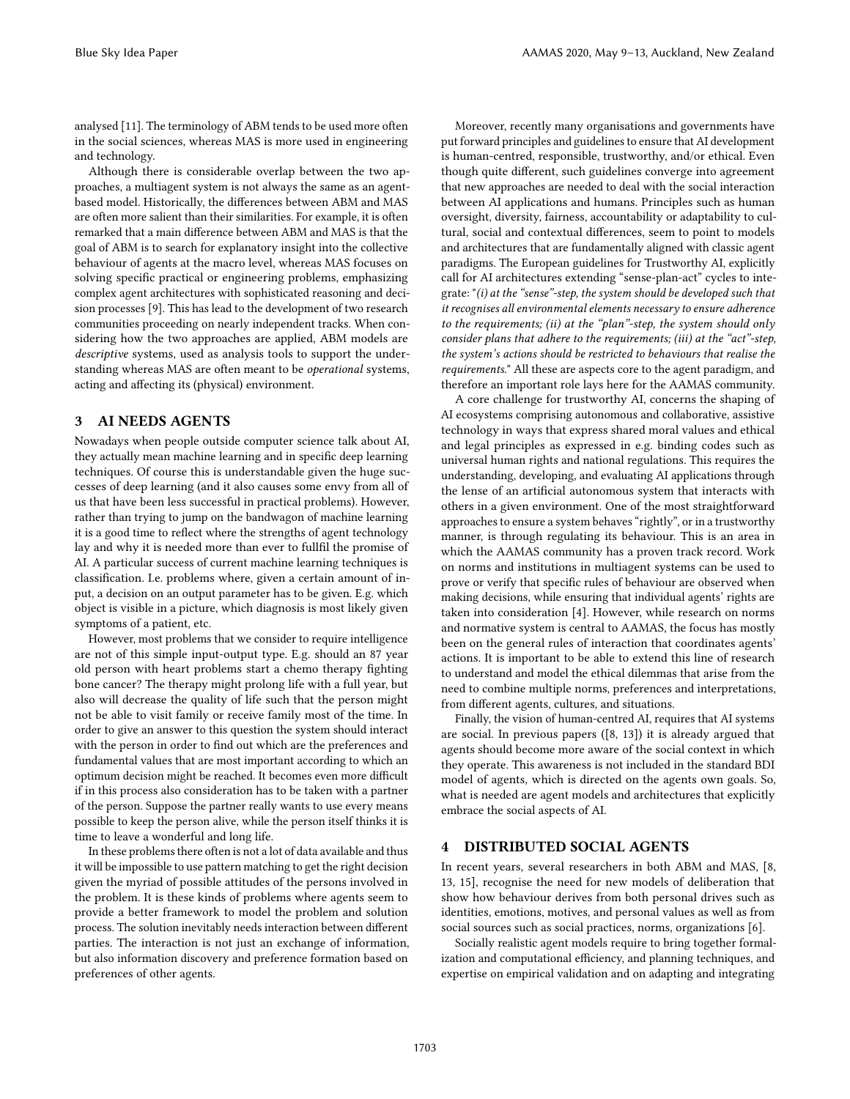analysed [\[11\]](#page-4-11). The terminology of ABM tends to be used more often in the social sciences, whereas MAS is more used in engineering and technology.

Although there is considerable overlap between the two approaches, a multiagent system is not always the same as an agentbased model. Historically, the differences between ABM and MAS are often more salient than their similarities. For example, it is often remarked that a main difference between ABM and MAS is that the goal of ABM is to search for explanatory insight into the collective behaviour of agents at the macro level, whereas MAS focuses on solving specific practical or engineering problems, emphasizing complex agent architectures with sophisticated reasoning and decision processes [\[9\]](#page-4-9). This has lead to the development of two research communities proceeding on nearly independent tracks. When considering how the two approaches are applied, ABM models are descriptive systems, used as analysis tools to support the understanding whereas MAS are often meant to be operational systems, acting and affecting its (physical) environment.

#### 3 AI NEEDS AGENTS

Nowadays when people outside computer science talk about AI, they actually mean machine learning and in specific deep learning techniques. Of course this is understandable given the huge successes of deep learning (and it also causes some envy from all of us that have been less successful in practical problems). However, rather than trying to jump on the bandwagon of machine learning it is a good time to reflect where the strengths of agent technology lay and why it is needed more than ever to fullfil the promise of AI. A particular success of current machine learning techniques is classification. I.e. problems where, given a certain amount of input, a decision on an output parameter has to be given. E.g. which object is visible in a picture, which diagnosis is most likely given symptoms of a patient, etc.

However, most problems that we consider to require intelligence are not of this simple input-output type. E.g. should an 87 year old person with heart problems start a chemo therapy fighting bone cancer? The therapy might prolong life with a full year, but also will decrease the quality of life such that the person might not be able to visit family or receive family most of the time. In order to give an answer to this question the system should interact with the person in order to find out which are the preferences and fundamental values that are most important according to which an optimum decision might be reached. It becomes even more difficult if in this process also consideration has to be taken with a partner of the person. Suppose the partner really wants to use every means possible to keep the person alive, while the person itself thinks it is time to leave a wonderful and long life.

In these problems there often is not a lot of data available and thus it will be impossible to use pattern matching to get the right decision given the myriad of possible attitudes of the persons involved in the problem. It is these kinds of problems where agents seem to provide a better framework to model the problem and solution process. The solution inevitably needs interaction between different parties. The interaction is not just an exchange of information, but also information discovery and preference formation based on preferences of other agents.

Moreover, recently many organisations and governments have put forward principles and guidelines to ensure that AI development is human-centred, responsible, trustworthy, and/or ethical. Even though quite different, such guidelines converge into agreement that new approaches are needed to deal with the social interaction between AI applications and humans. Principles such as human oversight, diversity, fairness, accountability or adaptability to cultural, social and contextual differences, seem to point to models and architectures that are fundamentally aligned with classic agent paradigms. The European guidelines for Trustworthy AI, explicitly call for AI architectures extending "sense-plan-act" cycles to integrate: "(i) at the "sense"-step, the system should be developed such that it recognises all environmental elements necessary to ensure adherence to the requirements; (ii) at the "plan"-step, the system should only consider plans that adhere to the requirements; (iii) at the "act"-step, the system's actions should be restricted to behaviours that realise the requirements." All these are aspects core to the agent paradigm, and therefore an important role lays here for the AAMAS community.

A core challenge for trustworthy AI, concerns the shaping of AI ecosystems comprising autonomous and collaborative, assistive technology in ways that express shared moral values and ethical and legal principles as expressed in e.g. binding codes such as universal human rights and national regulations. This requires the understanding, developing, and evaluating AI applications through the lense of an artificial autonomous system that interacts with others in a given environment. One of the most straightforward approaches to ensure a system behaves "rightly", or in a trustworthy manner, is through regulating its behaviour. This is an area in which the AAMAS community has a proven track record. Work on norms and institutions in multiagent systems can be used to prove or verify that specific rules of behaviour are observed when making decisions, while ensuring that individual agents' rights are taken into consideration [\[4\]](#page-4-12). However, while research on norms and normative system is central to AAMAS, the focus has mostly been on the general rules of interaction that coordinates agents' actions. It is important to be able to extend this line of research to understand and model the ethical dilemmas that arise from the need to combine multiple norms, preferences and interpretations, from different agents, cultures, and situations.

Finally, the vision of human-centred AI, requires that AI systems are social. In previous papers ([\[8,](#page-4-13) [13\]](#page-4-14)) it is already argued that agents should become more aware of the social context in which they operate. This awareness is not included in the standard BDI model of agents, which is directed on the agents own goals. So, what is needed are agent models and architectures that explicitly embrace the social aspects of AI.

### 4 DISTRIBUTED SOCIAL AGENTS

In recent years, several researchers in both ABM and MAS, [\[8,](#page-4-13) [13,](#page-4-14) [15\]](#page-4-8), recognise the need for new models of deliberation that show how behaviour derives from both personal drives such as identities, emotions, motives, and personal values as well as from social sources such as social practices, norms, organizations [\[6\]](#page-4-15).

Socially realistic agent models require to bring together formalization and computational efficiency, and planning techniques, and expertise on empirical validation and on adapting and integrating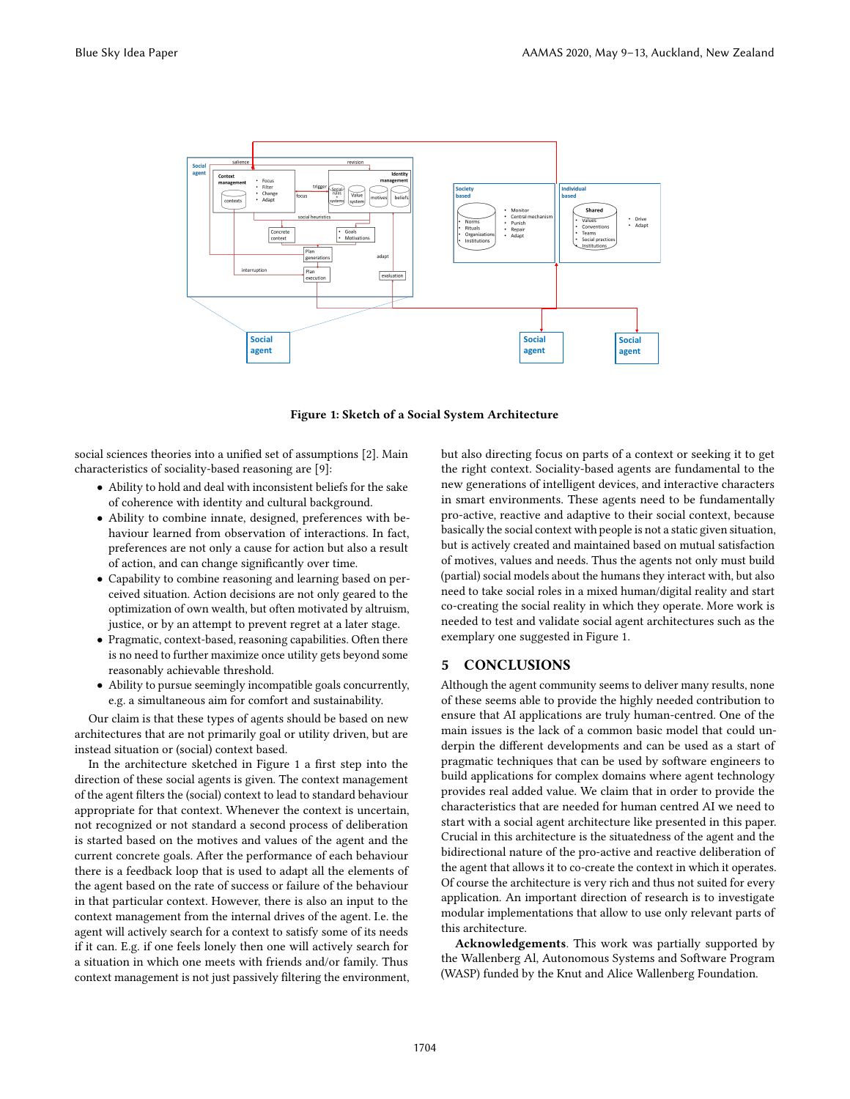<span id="page-3-0"></span>

Figure 1: Sketch of a Social System Architecture

social sciences theories into a unified set of assumptions [\[2\]](#page-4-16). Main characteristics of sociality-based reasoning are [\[9\]](#page-4-9):

- Ability to hold and deal with inconsistent beliefs for the sake of coherence with identity and cultural background.
- Ability to combine innate, designed, preferences with behaviour learned from observation of interactions. In fact, preferences are not only a cause for action but also a result of action, and can change significantly over time.
- Capability to combine reasoning and learning based on perceived situation. Action decisions are not only geared to the optimization of own wealth, but often motivated by altruism, justice, or by an attempt to prevent regret at a later stage.
- Pragmatic, context-based, reasoning capabilities. Often there is no need to further maximize once utility gets beyond some reasonably achievable threshold.
- Ability to pursue seemingly incompatible goals concurrently, e.g. a simultaneous aim for comfort and sustainability.

Our claim is that these types of agents should be based on new architectures that are not primarily goal or utility driven, but are instead situation or (social) context based.

In the architecture sketched in Figure [1](#page-3-0) a first step into the direction of these social agents is given. The context management of the agent filters the (social) context to lead to standard behaviour appropriate for that context. Whenever the context is uncertain, not recognized or not standard a second process of deliberation is started based on the motives and values of the agent and the current concrete goals. After the performance of each behaviour there is a feedback loop that is used to adapt all the elements of the agent based on the rate of success or failure of the behaviour in that particular context. However, there is also an input to the context management from the internal drives of the agent. I.e. the agent will actively search for a context to satisfy some of its needs if it can. E.g. if one feels lonely then one will actively search for a situation in which one meets with friends and/or family. Thus context management is not just passively filtering the environment,

but also directing focus on parts of a context or seeking it to get the right context. Sociality-based agents are fundamental to the new generations of intelligent devices, and interactive characters in smart environments. These agents need to be fundamentally pro-active, reactive and adaptive to their social context, because basically the social context with people is not a static given situation, but is actively created and maintained based on mutual satisfaction of motives, values and needs. Thus the agents not only must build (partial) social models about the humans they interact with, but also need to take social roles in a mixed human/digital reality and start co-creating the social reality in which they operate. More work is needed to test and validate social agent architectures such as the exemplary one suggested in Figure [1.](#page-3-0)

#### 5 CONCLUSIONS

Although the agent community seems to deliver many results, none of these seems able to provide the highly needed contribution to ensure that AI applications are truly human-centred. One of the main issues is the lack of a common basic model that could underpin the different developments and can be used as a start of pragmatic techniques that can be used by software engineers to build applications for complex domains where agent technology provides real added value. We claim that in order to provide the characteristics that are needed for human centred AI we need to start with a social agent architecture like presented in this paper. Crucial in this architecture is the situatedness of the agent and the bidirectional nature of the pro-active and reactive deliberation of the agent that allows it to co-create the context in which it operates. Of course the architecture is very rich and thus not suited for every application. An important direction of research is to investigate modular implementations that allow to use only relevant parts of this architecture.

Acknowledgements. This work was partially supported by the Wallenberg Al, Autonomous Systems and Software Program (WASP) funded by the Knut and Alice Wallenberg Foundation.